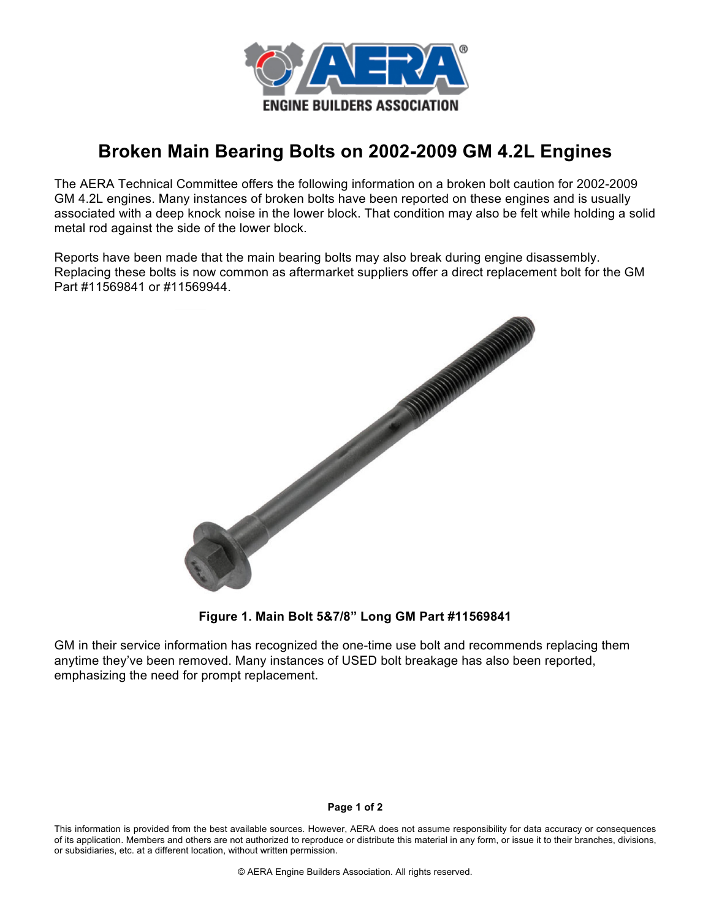

## **Broken Main Bearing Bolts on 2002-2009 GM 4.2L Engines**

The AERA Technical Committee offers the following information on a broken bolt caution for 2002-2009 GM 4.2L engines. Many instances of broken bolts have been reported on these engines and is usually associated with a deep knock noise in the lower block. That condition may also be felt while holding a solid metal rod against the side of the lower block.

Reports have been made that the main bearing bolts may also break during engine disassembly. Replacing these bolts is now common as aftermarket suppliers offer a direct replacement bolt for the GM Part #11569841 or #11569944.



**Figure 1. Main Bolt 5&7/8" Long GM Part #11569841**

GM in their service information has recognized the one-time use bolt and recommends replacing them anytime they've been removed. Many instances of USED bolt breakage has also been reported, emphasizing the need for prompt replacement.

## **Page 1 of 2**

This information is provided from the best available sources. However, AERA does not assume responsibility for data accuracy or consequences of its application. Members and others are not authorized to reproduce or distribute this material in any form, or issue it to their branches, divisions, or subsidiaries, etc. at a different location, without written permission.